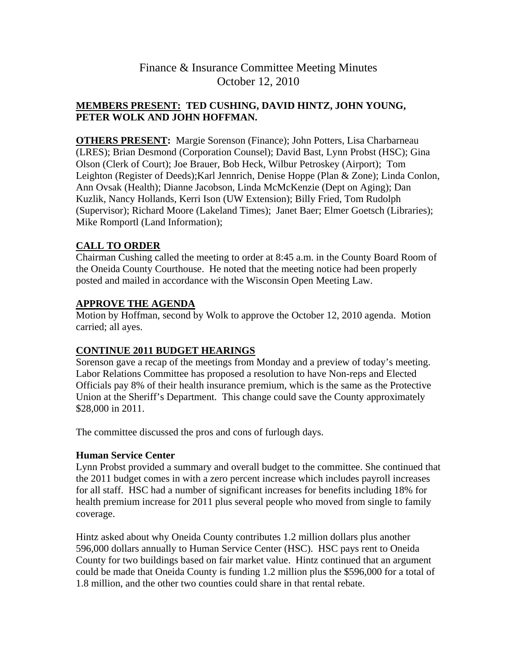## **MEMBERS PRESENT: TED CUSHING, DAVID HINTZ, JOHN YOUNG, PETER WOLK AND JOHN HOFFMAN.**

**OTHERS PRESENT:** Margie Sorenson (Finance); John Potters, Lisa Charbarneau (LRES); Brian Desmond (Corporation Counsel); David Bast, Lynn Probst (HSC); Gina Olson (Clerk of Court); Joe Brauer, Bob Heck, Wilbur Petroskey (Airport); Tom Leighton (Register of Deeds);Karl Jennrich, Denise Hoppe (Plan & Zone); Linda Conlon, Ann Ovsak (Health); Dianne Jacobson, Linda McMcKenzie (Dept on Aging); Dan Kuzlik, Nancy Hollands, Kerri Ison (UW Extension); Billy Fried, Tom Rudolph (Supervisor); Richard Moore (Lakeland Times); Janet Baer; Elmer Goetsch (Libraries); Mike Romportl (Land Information);

## **CALL TO ORDER**

Chairman Cushing called the meeting to order at 8:45 a.m. in the County Board Room of the Oneida County Courthouse. He noted that the meeting notice had been properly posted and mailed in accordance with the Wisconsin Open Meeting Law.

## **APPROVE THE AGENDA**

Motion by Hoffman, second by Wolk to approve the October 12, 2010 agenda. Motion carried; all ayes.

## **CONTINUE 2011 BUDGET HEARINGS**

Sorenson gave a recap of the meetings from Monday and a preview of today's meeting. Labor Relations Committee has proposed a resolution to have Non-reps and Elected Officials pay 8% of their health insurance premium, which is the same as the Protective Union at the Sheriff's Department. This change could save the County approximately \$28,000 in 2011.

The committee discussed the pros and cons of furlough days.

### **Human Service Center**

Lynn Probst provided a summary and overall budget to the committee. She continued that the 2011 budget comes in with a zero percent increase which includes payroll increases for all staff. HSC had a number of significant increases for benefits including 18% for health premium increase for 2011 plus several people who moved from single to family coverage.

Hintz asked about why Oneida County contributes 1.2 million dollars plus another 596,000 dollars annually to Human Service Center (HSC). HSC pays rent to Oneida County for two buildings based on fair market value. Hintz continued that an argument could be made that Oneida County is funding 1.2 million plus the \$596,000 for a total of 1.8 million, and the other two counties could share in that rental rebate.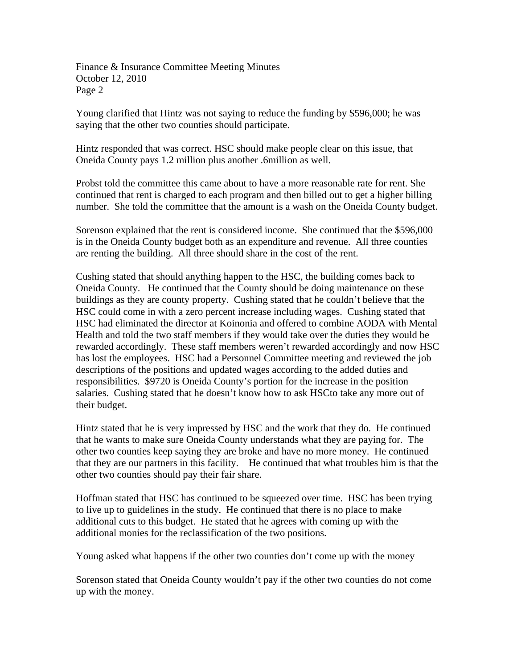Young clarified that Hintz was not saying to reduce the funding by \$596,000; he was saying that the other two counties should participate.

Hintz responded that was correct. HSC should make people clear on this issue, that Oneida County pays 1.2 million plus another .6million as well.

Probst told the committee this came about to have a more reasonable rate for rent. She continued that rent is charged to each program and then billed out to get a higher billing number. She told the committee that the amount is a wash on the Oneida County budget.

Sorenson explained that the rent is considered income. She continued that the \$596,000 is in the Oneida County budget both as an expenditure and revenue. All three counties are renting the building. All three should share in the cost of the rent.

Cushing stated that should anything happen to the HSC, the building comes back to Oneida County. He continued that the County should be doing maintenance on these buildings as they are county property. Cushing stated that he couldn't believe that the HSC could come in with a zero percent increase including wages. Cushing stated that HSC had eliminated the director at Koinonia and offered to combine AODA with Mental Health and told the two staff members if they would take over the duties they would be rewarded accordingly. These staff members weren't rewarded accordingly and now HSC has lost the employees. HSC had a Personnel Committee meeting and reviewed the job descriptions of the positions and updated wages according to the added duties and responsibilities. \$9720 is Oneida County's portion for the increase in the position salaries. Cushing stated that he doesn't know how to ask HSCto take any more out of their budget.

Hintz stated that he is very impressed by HSC and the work that they do. He continued that he wants to make sure Oneida County understands what they are paying for. The other two counties keep saying they are broke and have no more money. He continued that they are our partners in this facility. He continued that what troubles him is that the other two counties should pay their fair share.

Hoffman stated that HSC has continued to be squeezed over time. HSC has been trying to live up to guidelines in the study. He continued that there is no place to make additional cuts to this budget. He stated that he agrees with coming up with the additional monies for the reclassification of the two positions.

Young asked what happens if the other two counties don't come up with the money

Sorenson stated that Oneida County wouldn't pay if the other two counties do not come up with the money.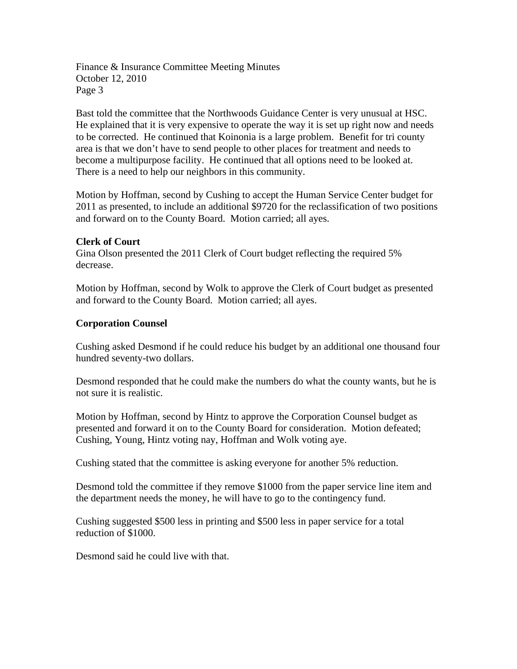Bast told the committee that the Northwoods Guidance Center is very unusual at HSC. He explained that it is very expensive to operate the way it is set up right now and needs to be corrected. He continued that Koinonia is a large problem. Benefit for tri county area is that we don't have to send people to other places for treatment and needs to become a multipurpose facility. He continued that all options need to be looked at. There is a need to help our neighbors in this community.

Motion by Hoffman, second by Cushing to accept the Human Service Center budget for 2011 as presented, to include an additional \$9720 for the reclassification of two positions and forward on to the County Board. Motion carried; all ayes.

#### **Clerk of Court**

Gina Olson presented the 2011 Clerk of Court budget reflecting the required 5% decrease.

Motion by Hoffman, second by Wolk to approve the Clerk of Court budget as presented and forward to the County Board. Motion carried; all ayes.

#### **Corporation Counsel**

Cushing asked Desmond if he could reduce his budget by an additional one thousand four hundred seventy-two dollars.

Desmond responded that he could make the numbers do what the county wants, but he is not sure it is realistic.

Motion by Hoffman, second by Hintz to approve the Corporation Counsel budget as presented and forward it on to the County Board for consideration. Motion defeated; Cushing, Young, Hintz voting nay, Hoffman and Wolk voting aye.

Cushing stated that the committee is asking everyone for another 5% reduction.

Desmond told the committee if they remove \$1000 from the paper service line item and the department needs the money, he will have to go to the contingency fund.

Cushing suggested \$500 less in printing and \$500 less in paper service for a total reduction of \$1000.

Desmond said he could live with that.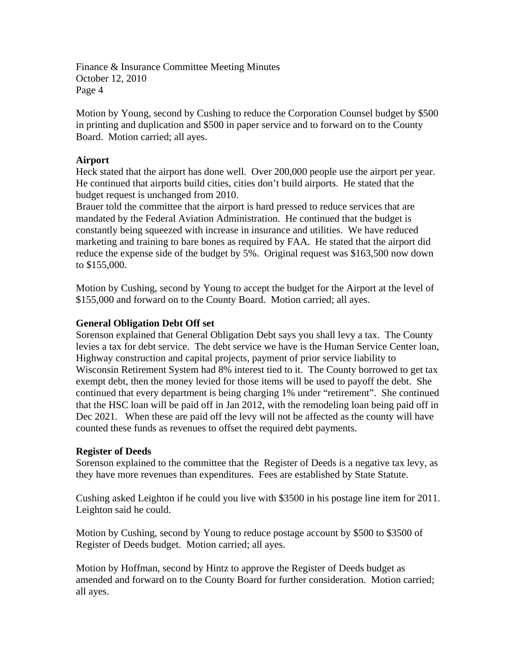Motion by Young, second by Cushing to reduce the Corporation Counsel budget by \$500 in printing and duplication and \$500 in paper service and to forward on to the County Board. Motion carried; all ayes.

#### **Airport**

Heck stated that the airport has done well. Over 200,000 people use the airport per year. He continued that airports build cities, cities don't build airports. He stated that the budget request is unchanged from 2010.

Brauer told the committee that the airport is hard pressed to reduce services that are mandated by the Federal Aviation Administration. He continued that the budget is constantly being squeezed with increase in insurance and utilities. We have reduced marketing and training to bare bones as required by FAA. He stated that the airport did reduce the expense side of the budget by 5%. Original request was \$163,500 now down to \$155,000.

Motion by Cushing, second by Young to accept the budget for the Airport at the level of \$155,000 and forward on to the County Board. Motion carried; all ayes.

#### **General Obligation Debt Off set**

Sorenson explained that General Obligation Debt says you shall levy a tax. The County levies a tax for debt service. The debt service we have is the Human Service Center loan, Highway construction and capital projects, payment of prior service liability to Wisconsin Retirement System had 8% interest tied to it. The County borrowed to get tax exempt debt, then the money levied for those items will be used to payoff the debt. She continued that every department is being charging 1% under "retirement". She continued that the HSC loan will be paid off in Jan 2012, with the remodeling loan being paid off in Dec 2021. When these are paid off the levy will not be affected as the county will have counted these funds as revenues to offset the required debt payments.

#### **Register of Deeds**

Sorenson explained to the committee that the Register of Deeds is a negative tax levy, as they have more revenues than expenditures. Fees are established by State Statute.

Cushing asked Leighton if he could you live with \$3500 in his postage line item for 2011. Leighton said he could.

Motion by Cushing, second by Young to reduce postage account by \$500 to \$3500 of Register of Deeds budget. Motion carried; all ayes.

Motion by Hoffman, second by Hintz to approve the Register of Deeds budget as amended and forward on to the County Board for further consideration. Motion carried; all ayes.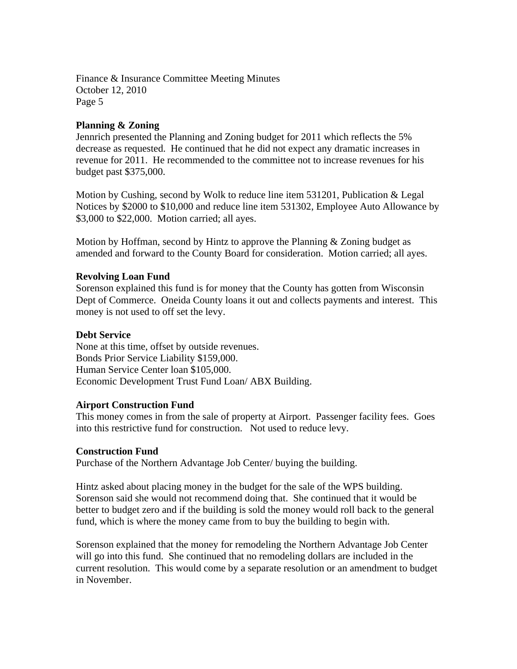#### **Planning & Zoning**

Jennrich presented the Planning and Zoning budget for 2011 which reflects the 5% decrease as requested. He continued that he did not expect any dramatic increases in revenue for 2011. He recommended to the committee not to increase revenues for his budget past \$375,000.

Motion by Cushing, second by Wolk to reduce line item 531201, Publication & Legal Notices by \$2000 to \$10,000 and reduce line item 531302, Employee Auto Allowance by \$3,000 to \$22,000. Motion carried; all ayes.

Motion by Hoffman, second by Hintz to approve the Planning  $\&$  Zoning budget as amended and forward to the County Board for consideration. Motion carried; all ayes.

#### **Revolving Loan Fund**

Sorenson explained this fund is for money that the County has gotten from Wisconsin Dept of Commerce. Oneida County loans it out and collects payments and interest. This money is not used to off set the levy.

#### **Debt Service**

None at this time, offset by outside revenues. Bonds Prior Service Liability \$159,000. Human Service Center loan \$105,000. Economic Development Trust Fund Loan/ ABX Building.

#### **Airport Construction Fund**

This money comes in from the sale of property at Airport. Passenger facility fees. Goes into this restrictive fund for construction. Not used to reduce levy.

#### **Construction Fund**

Purchase of the Northern Advantage Job Center/ buying the building.

Hintz asked about placing money in the budget for the sale of the WPS building. Sorenson said she would not recommend doing that. She continued that it would be better to budget zero and if the building is sold the money would roll back to the general fund, which is where the money came from to buy the building to begin with.

Sorenson explained that the money for remodeling the Northern Advantage Job Center will go into this fund. She continued that no remodeling dollars are included in the current resolution. This would come by a separate resolution or an amendment to budget in November.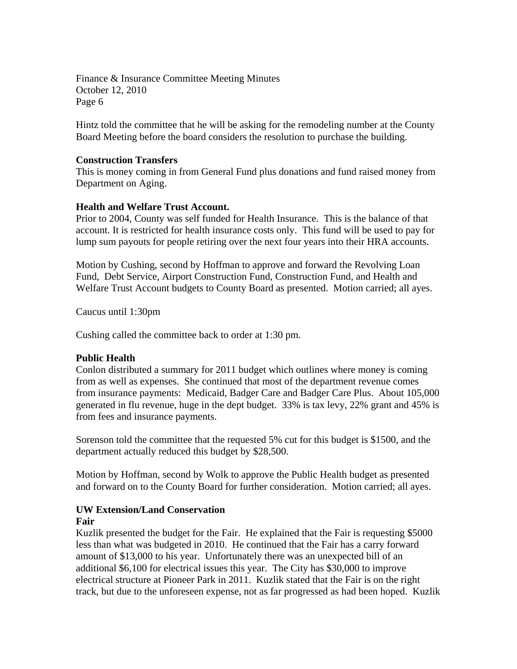Hintz told the committee that he will be asking for the remodeling number at the County Board Meeting before the board considers the resolution to purchase the building.

#### **Construction Transfers**

This is money coming in from General Fund plus donations and fund raised money from Department on Aging.

#### **Health and Welfare Trust Account.**

Prior to 2004, County was self funded for Health Insurance. This is the balance of that account. It is restricted for health insurance costs only. This fund will be used to pay for lump sum payouts for people retiring over the next four years into their HRA accounts.

Motion by Cushing, second by Hoffman to approve and forward the Revolving Loan Fund, Debt Service, Airport Construction Fund, Construction Fund, and Health and Welfare Trust Account budgets to County Board as presented. Motion carried; all ayes.

Caucus until 1:30pm

Cushing called the committee back to order at 1:30 pm.

#### **Public Health**

Conlon distributed a summary for 2011 budget which outlines where money is coming from as well as expenses. She continued that most of the department revenue comes from insurance payments: Medicaid, Badger Care and Badger Care Plus. About 105,000 generated in flu revenue, huge in the dept budget. 33% is tax levy, 22% grant and 45% is from fees and insurance payments.

Sorenson told the committee that the requested 5% cut for this budget is \$1500, and the department actually reduced this budget by \$28,500.

Motion by Hoffman, second by Wolk to approve the Public Health budget as presented and forward on to the County Board for further consideration. Motion carried; all ayes.

# **UW Extension/Land Conservation**

## **Fair**

Kuzlik presented the budget for the Fair. He explained that the Fair is requesting \$5000 less than what was budgeted in 2010. He continued that the Fair has a carry forward amount of \$13,000 to his year. Unfortunately there was an unexpected bill of an additional \$6,100 for electrical issues this year. The City has \$30,000 to improve electrical structure at Pioneer Park in 2011. Kuzlik stated that the Fair is on the right track, but due to the unforeseen expense, not as far progressed as had been hoped. Kuzlik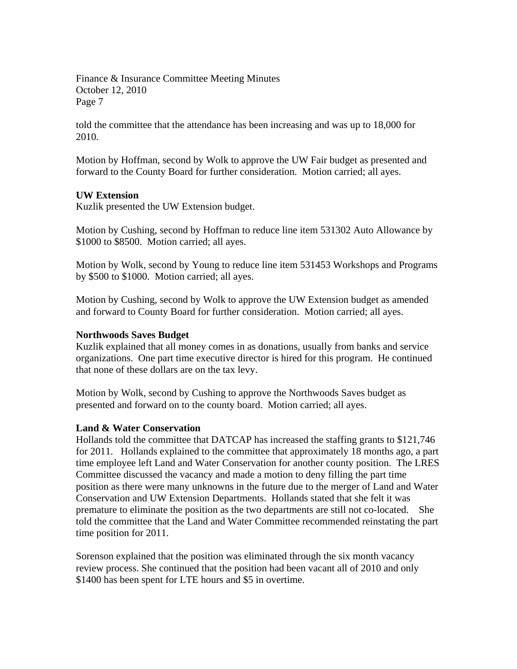told the committee that the attendance has been increasing and was up to 18,000 for 2010.

Motion by Hoffman, second by Wolk to approve the UW Fair budget as presented and forward to the County Board for further consideration. Motion carried; all ayes.

#### **UW Extension**

Kuzlik presented the UW Extension budget.

Motion by Cushing, second by Hoffman to reduce line item 531302 Auto Allowance by \$1000 to \$8500. Motion carried; all ayes.

Motion by Wolk, second by Young to reduce line item 531453 Workshops and Programs by \$500 to \$1000. Motion carried; all ayes.

Motion by Cushing, second by Wolk to approve the UW Extension budget as amended and forward to County Board for further consideration. Motion carried; all ayes.

#### **Northwoods Saves Budget**

Kuzlik explained that all money comes in as donations, usually from banks and service organizations. One part time executive director is hired for this program. He continued that none of these dollars are on the tax levy.

Motion by Wolk, second by Cushing to approve the Northwoods Saves budget as presented and forward on to the county board. Motion carried; all ayes.

#### **Land & Water Conservation**

Hollands told the committee that DATCAP has increased the staffing grants to \$121,746 for 2011. Hollands explained to the committee that approximately 18 months ago, a part time employee left Land and Water Conservation for another county position. The LRES Committee discussed the vacancy and made a motion to deny filling the part time position as there were many unknowns in the future due to the merger of Land and Water Conservation and UW Extension Departments. Hollands stated that she felt it was premature to eliminate the position as the two departments are still not co-located. She told the committee that the Land and Water Committee recommended reinstating the part time position for 2011.

Sorenson explained that the position was eliminated through the six month vacancy review process. She continued that the position had been vacant all of 2010 and only \$1400 has been spent for LTE hours and \$5 in overtime.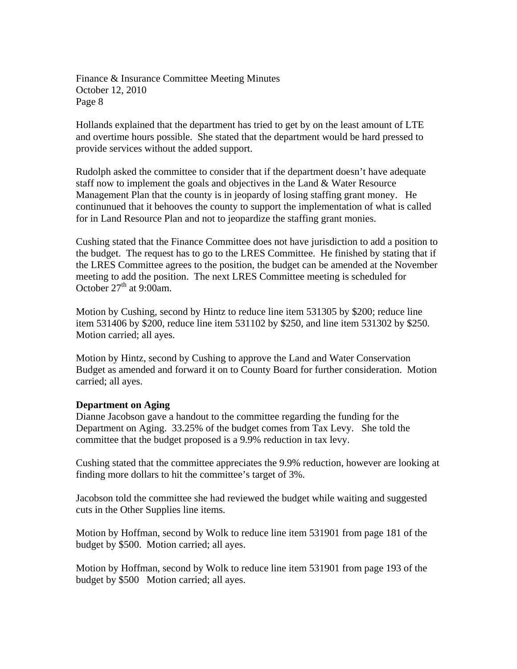Hollands explained that the department has tried to get by on the least amount of LTE and overtime hours possible. She stated that the department would be hard pressed to provide services without the added support.

Rudolph asked the committee to consider that if the department doesn't have adequate staff now to implement the goals and objectives in the Land & Water Resource Management Plan that the county is in jeopardy of losing staffing grant money. He continunued that it behooves the county to support the implementation of what is called for in Land Resource Plan and not to jeopardize the staffing grant monies.

Cushing stated that the Finance Committee does not have jurisdiction to add a position to the budget. The request has to go to the LRES Committee. He finished by stating that if the LRES Committee agrees to the position, the budget can be amended at the November meeting to add the position. The next LRES Committee meeting is scheduled for October  $27<sup>th</sup>$  at 9:00am.

Motion by Cushing, second by Hintz to reduce line item 531305 by \$200; reduce line item 531406 by \$200, reduce line item 531102 by \$250, and line item 531302 by \$250. Motion carried; all ayes.

Motion by Hintz, second by Cushing to approve the Land and Water Conservation Budget as amended and forward it on to County Board for further consideration. Motion carried; all ayes.

#### **Department on Aging**

Dianne Jacobson gave a handout to the committee regarding the funding for the Department on Aging. 33.25% of the budget comes from Tax Levy. She told the committee that the budget proposed is a 9.9% reduction in tax levy.

Cushing stated that the committee appreciates the 9.9% reduction, however are looking at finding more dollars to hit the committee's target of 3%.

Jacobson told the committee she had reviewed the budget while waiting and suggested cuts in the Other Supplies line items.

Motion by Hoffman, second by Wolk to reduce line item 531901 from page 181 of the budget by \$500. Motion carried; all ayes.

Motion by Hoffman, second by Wolk to reduce line item 531901 from page 193 of the budget by \$500 Motion carried; all ayes.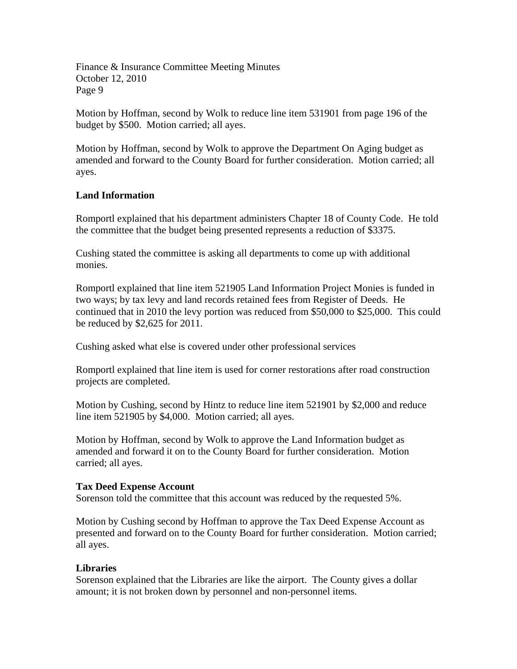Motion by Hoffman, second by Wolk to reduce line item 531901 from page 196 of the budget by \$500. Motion carried; all ayes.

Motion by Hoffman, second by Wolk to approve the Department On Aging budget as amended and forward to the County Board for further consideration. Motion carried; all ayes.

#### **Land Information**

Romportl explained that his department administers Chapter 18 of County Code. He told the committee that the budget being presented represents a reduction of \$3375.

Cushing stated the committee is asking all departments to come up with additional monies.

Romportl explained that line item 521905 Land Information Project Monies is funded in two ways; by tax levy and land records retained fees from Register of Deeds. He continued that in 2010 the levy portion was reduced from \$50,000 to \$25,000. This could be reduced by \$2,625 for 2011.

Cushing asked what else is covered under other professional services

Romportl explained that line item is used for corner restorations after road construction projects are completed.

Motion by Cushing, second by Hintz to reduce line item 521901 by \$2,000 and reduce line item 521905 by \$4,000. Motion carried; all ayes.

Motion by Hoffman, second by Wolk to approve the Land Information budget as amended and forward it on to the County Board for further consideration. Motion carried; all ayes.

#### **Tax Deed Expense Account**

Sorenson told the committee that this account was reduced by the requested 5%.

Motion by Cushing second by Hoffman to approve the Tax Deed Expense Account as presented and forward on to the County Board for further consideration. Motion carried; all ayes.

#### **Libraries**

Sorenson explained that the Libraries are like the airport. The County gives a dollar amount; it is not broken down by personnel and non-personnel items.